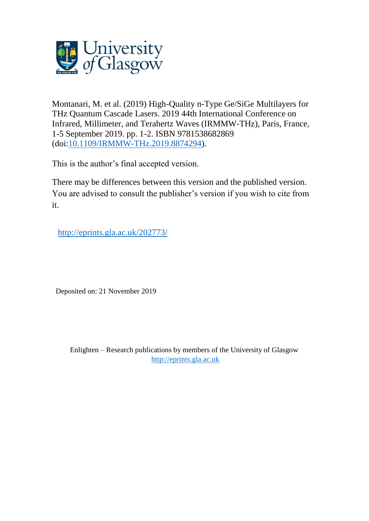

Montanari, M. et al. (2019) High-Quality n-Type Ge/SiGe Multilayers for THz Quantum Cascade Lasers. 2019 44th International Conference on Infrared, Millimeter, and Terahertz Waves (IRMMW-THz), Paris, France, 1-5 September 2019. pp. 1-2. ISBN 9781538682869 (doi[:10.1109/IRMMW-THz.2019.8874294\)](http://dx.doi.org/10.1109/IRMMW-THz.2019.8874294).

This is the author's final accepted version.

There may be differences between this version and the published version. You are advised to consult the publisher's version if you wish to cite from it.

[http://eprints.gla.ac.uk/202773/](http://eprints.gla.ac.uk/202772/) 

Deposited on: 21 November 2019

Enlighten – Research publications by members of the University of Glasgow [http://eprints.gla.ac.uk](http://eprints.gla.ac.uk/)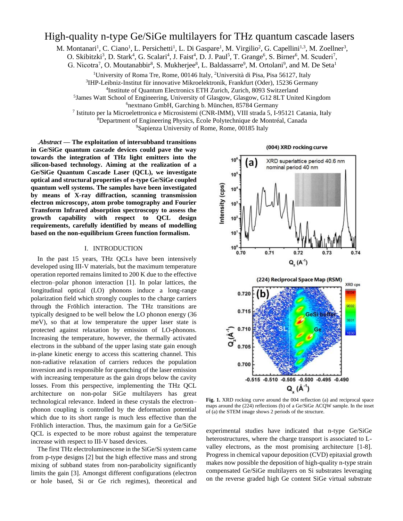# High-quality n-type Ge/SiGe multilayers for THz quantum cascade lasers

M. Montanari<sup>1</sup>, C. Ciano<sup>1</sup>, L. Persichetti<sup>1</sup>, L. Di Gaspare<sup>1</sup>, M. Virgilio<sup>2</sup>, G. Capellini<sup>1,3</sup>, M. Zoellner<sup>3</sup>,

O. Skibitzki<sup>3</sup>, D. Stark<sup>4</sup>, G. Scalari<sup>4</sup>, J. Faist<sup>4</sup>, D. J. Paul<sup>5</sup>, T. Grange<sup>6</sup>, S. Birner<sup>6</sup>, M. Scuderi<sup>7</sup>,

G. Nicotra<sup>7</sup>, O. Moutanabbir<sup>8</sup>, S. Mukherjee<sup>8</sup>, L. Baldassarre<sup>9</sup>, M. Ortolani<sup>9</sup>, and M. De Seta<sup>1</sup>

<sup>1</sup>University of Roma Tre, Rome, 00146 Italy, <sup>2</sup>Università di Pisa, Pisa 56127, Italy 3 IHP-Leibniz-Institut für innovative Mikroelektronik, Frankfurt (Oder), 15236 Germany

4 Institute of Quantum Electronics ETH Zurich, Zurich, 8093 Switzerland

<sup>5</sup> James Watt School of Engineering, University of Glasgow, Glasgow, G12 8LT United Kingdom

<sup>6</sup>nextnano GmbH, Garching b. München, 85784 Germany

7 Istituto per la Microelettronica e Microsistemi (CNR-IMM), VIII strada 5, I-95121 Catania, Italy

<sup>8</sup>Department of Engineering Physics, École Polytechnique de Montréal, Canada <sup>9</sup>Sapienza University of Rome, Rome, 00185 Italy

.*Abstract* **— The exploitation of intersubband transitions in Ge/SiGe quantum cascade devices could pave the way towards the integration of THz light emitters into the silicon-based technology. Aiming at the realization of a Ge/SiGe Quantum Cascade Laser (QCL), we investigate optical and structural properties of n-type Ge/SiGe coupled quantum well systems. The samples have been investigated by means of X-ray diffraction, scanning transmission electron microscopy, atom probe tomography and Fourier Transform Infrared absorption spectroscopy to assess the growth capability with respect to QCL design requirements, carefully identified by means of modelling based on the non-equilibrium Green function formalism.** 

## I. INTRODUCTION

In the past 15 years, THz QCLs have been intensively developed using III-V materials, but the maximum temperature operation reported remains limited to 200 K due to the effective electron–polar phonon interaction [1]. In polar lattices, the longitudinal optical (LO) phonons induce a long-range polarization field which strongly couples to the charge carriers through the Fröhlich interaction. The THz transitions are typically designed to be well below the LO phonon energy (36 meV), so that at low temperature the upper laser state is protected against relaxation by emission of LO-phonons. Increasing the temperature, however, the thermally activated electrons in the subband of the upper lasing state gain enough in-plane kinetic energy to access this scattering channel. This non-radiative relaxation of carriers reduces the population inversion and is responsible for quenching of the laser emission with increasing temperature as the gain drops below the cavity losses. From this perspective, implementing the THz QCL architecture on non-polar SiGe multilayers has great technological relevance. Indeed in these crystals the electron– phonon coupling is controlled by the deformation potential which due to its short range is much less effective than the Fröhlich interaction. Thus, the maximum gain for a Ge/SiGe QCL is expected to be more robust against the temperature increase with respect to III-V based devices.

The first THz electroluminescene in the SiGe/Si system came from p-type designs [2] but the high effective mass and strong mixing of subband states from non-parabolicity significantly limits the gain [3]. Amongst different configurations (electron or hole based, Si or Ge rich regimes), theoretical and





**Fig. 1.** XRD rocking curve around the 004 reflection (a) and reciprocal space maps around the (224) reflections (b) of a Ge/SiGe ACQW sample. In the inset of (a) the STEM image shows 2 periods of the structure.

experimental studies have indicated that n-type Ge/SiGe heterostructures, where the charge transport is associated to Lvalley electrons, as the most promising architecture [1-8]. Progress in chemical vapour deposition (CVD) epitaxial growth makes now possible the deposition of high-quality n-type strain compensated Ge/SiGe multilayers on Si substrates leveraging on the reverse graded high Ge content SiGe virtual substrate